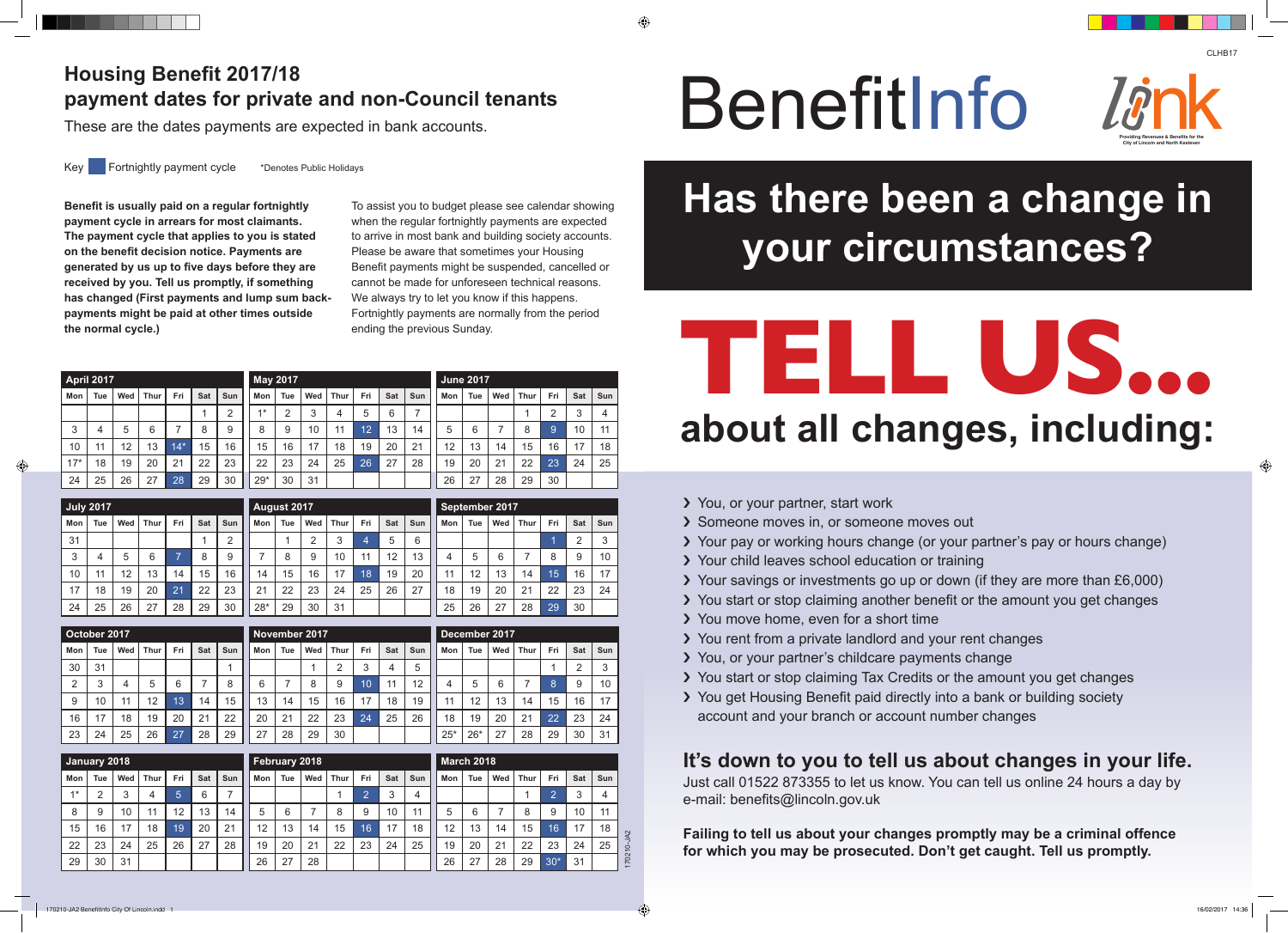- > You, or your partner, start work
- › Someone moves in, or someone moves out
- 
- › Your pay or working hours change (or your partner's pay or hours change) › Your child leaves school education or training
- › Your savings or investments go up or down (if they are more than £6,000)
- > You start or stop claiming another benefit or the amount you get changes
- › You move home, even for a short time
- › You rent from a private landlord and your rent changes
- › You, or your partner's childcare payments change
- › You start or stop claiming Tax Credits or the amount you get changes
- > You get Housing Benefit paid directly into a bank or building society account and your branch or account number changes

# Plousing Benefit 2017/18<br>payment dates for private and non-Council tenants<br>These are the dates payments are expected in bank accounts. **payment dates for private and non-Council tenants**

## **It's down to you to tell us about changes in your life.**

Just call 01522 873355 to let us know. You can tell us online 24 hours a day by e-mail: benefits@lincoln.gov.uk

**Failing to tell us about your changes promptly may be a criminal offence for which you may be prosecuted. Don't get caught. Tell us promptly.**



These are the dates payments are expected in bank accounts.

Key Fortnightly payment cycle \*Denotes Public Holidays

**Benefit is usually paid on a regular fortnightly payment cycle in arrears for most claimants. The payment cycle that applies to you is stated on the benefit decision notice. Payments are generated by us up to five days before they are received by you. Tell us promptly, if something has changed (First payments and lump sum backpayments might be paid at other times outside the normal cycle.)**

To assist you to budget please see calendar showing when the regular fortnightly payments are expected to arrive in most bank and building society accounts. Please be aware that sometimes your Housing Benefit payments might be suspended, cancelled or cannot be made for unforeseen technical reasons. We always try to let you know if this happens. Fortnightly payments are normally from the period ending the previous Sunday.

170210-JA2

# **Has there been a change in your circumstances?**



# **TELL US... about all changes, including:**

| <b>April 2017</b> |                |     |             |                |     |                |                | <b>May 2017</b> |                |             |                |            |                |       | <b>June 2017</b>  |                |                |                |                |                      |  |
|-------------------|----------------|-----|-------------|----------------|-----|----------------|----------------|-----------------|----------------|-------------|----------------|------------|----------------|-------|-------------------|----------------|----------------|----------------|----------------|----------------------|--|
| Mon               | <b>Tue</b>     | Wed | <b>Thur</b> | Fri            | Sat | Sun            | Mon            | <b>Tue</b>      | Wed            | <b>Thur</b> | Fri            | <b>Sat</b> | Sun            | Mon   | <b>Tue</b>        | Wed            | <b>Thur</b>    | Fri            | <b>Sat</b>     | Sun                  |  |
|                   |                |     |             |                | 1   | $\overline{2}$ | $1*$           | $\overline{2}$  | 3              | 4           | 5              | 6          | $\overline{7}$ |       |                   |                | 1              | $\overline{2}$ | 3              | $\overline{4}$       |  |
| 3                 | 4              | 5   | 6           | $\overline{7}$ | 8   | 9              | 8              | 9               | 10             | 11          | 12             | 13         | 14             | 5     | 6                 | $\overline{7}$ | 8              | $\overline{9}$ | 10             | 11                   |  |
| 10                | 11             | 12  | 13          | $14*$          | 15  | 16             | 15             | 16              | 17             | 18          | 19             | 20         | 21             | 12    | 13                | 14             | 15             | 16             | 17             | 18                   |  |
| $17*$             | 18             | 19  | 20          | 21             | 22  | 23             | 22             | 23              | 24             | 25          | 26             | 27         | 28             | 19    | 20                | 21             | 22             | 23             | 24             | 25                   |  |
| 24                | 25             | 26  | 27          | 28             | 29  | 30             | $29*$          | 30              | 31             |             |                |            |                | 26    | 27                | 28             | 29             | 30             |                |                      |  |
|                   |                |     |             |                |     |                |                |                 |                |             |                |            |                |       |                   |                |                |                |                |                      |  |
| <b>July 2017</b>  |                |     |             |                |     |                |                | August 2017     |                |             |                |            |                |       | September 2017    |                |                |                |                |                      |  |
| Mon               | <b>Tue</b>     | Wed | <b>Thur</b> | Fri            | Sat | Sun            | Mon            | <b>Tue</b>      | Wed            | <b>Thur</b> | Fri            | <b>Sat</b> | Sun            | Mon   | <b>Tue</b>        | Wed            | <b>Thur</b>    | Fri            | Sat            | Sun                  |  |
| 31                |                |     |             |                | 1   | $\overline{2}$ |                | 1               | 2              | 3           | 4              | 5          | 6              |       |                   |                |                | 1              | $\overline{2}$ | $\mathsf 3$          |  |
| 3                 | 4              | 5   | 6           | $\overline{7}$ | 8   | 9              | $\overline{7}$ | 8               | 9              | 10          | 11             | 12         | 13             | 4     | 5                 | 6              | $\overline{7}$ | 8              | 9              | 10                   |  |
| 10                | 11             | 12  | 13          | 14             | 15  | 16             | 14             | 15              | 16             | 17          | 18             | 19         | 20             | 11    | 12                | 13             | 14             | 15             | 16             | 17                   |  |
| 17                | 18             | 19  | 20          | 21             | 22  | 23             | 21             | 22              | 23             | 24          | 25             | 26         | 27             | 18    | 19                | 20             | 21             | 22             | 23             | 24                   |  |
| 24                | 25             | 26  | 27          | 28             | 29  | 30             | $28*$          | 29              | 30             | 31          |                |            |                | 25    | 26                | 27             | 28             | 29             | 30             |                      |  |
|                   |                |     |             |                |     |                |                |                 |                |             |                |            |                |       |                   |                |                |                |                |                      |  |
| October 2017      |                |     |             |                |     |                |                | November 2017   |                |             |                |            |                |       | December 2017     |                |                |                |                |                      |  |
| Mon               | Tue            | Wed | Thur        | Fri            | Sat | Sun            | Mon            | <b>Tue</b>      | Wed            | <b>Thur</b> | Fri            | Sat        | <b>Sun</b>     | Mon   | <b>Tue</b>        | Wed            | <b>Thur</b>    | Fri            | <b>Sat</b>     | Sun                  |  |
| 30                | 31             |     |             |                |     | 1              |                |                 | 1              | 2           | 3              | 4          | 5              |       |                   |                |                | 1              | $\overline{2}$ | 3                    |  |
| 2                 | 3              | 4   | 5           | 6              | 7   | 8              | 6              | $\overline{7}$  | 8              | 9           | 10             | 11         | 12             | 4     | 5                 | 6              | 7              | 8              | 9              | 10                   |  |
| 9                 | 10             | 11  | 12          | 13             | 14  | 15             | 13             | 14              | 15             | 16          | 17             | 18         | 19             | 11    | 12                | 13             | 14             | 15             | 16             | 17                   |  |
| 16                | 17             | 18  | 19          | 20             | 21  | 22             | 20             | 21              | 22             | 23          | 24             | 25         | 26             | 18    | 19                | 20             | 21             | 22             | 23             | 24                   |  |
| 23                | 24             | 25  | 26          | 27             | 28  | 29             | 27             | 28              | 29             | 30          |                |            |                | $25*$ | $26*$             | 27             | 28             | 29             | 30             | 31                   |  |
| January 2018      |                |     |             |                |     |                |                | February 2018   |                |             |                |            |                |       | <b>March 2018</b> |                |                |                |                |                      |  |
| Mon               | <b>Tue</b>     | Wed | <b>Thur</b> | Fri            | Sat | Sun            | Mon            | Tue             | Wed            | <b>Thur</b> | Fri            | Sat        | Sun            | Mon   | <b>Tue</b>        | Wed            | <b>Thur</b>    | Fri            | Sat            | Sun                  |  |
| $1*$              | $\overline{2}$ | 3   | 4           | 5              | 6   | $\overline{7}$ |                |                 |                | 1           | $\overline{2}$ | 3          | 4              |       |                   |                | 1              | $\overline{2}$ | 3              |                      |  |
| 8                 | 9              | 10  | 11          | 12             | 13  | 14             | 5              | 6               | $\overline{7}$ | 8           | 9              | 10         | 11             | 5     | $6\phantom{1}$    | $\overline{7}$ | 8              | 9              | 10             | $\overline{4}$<br>11 |  |
|                   |                |     |             |                |     |                | 12             |                 |                |             |                |            |                |       |                   |                |                |                |                |                      |  |
| 15                | 16             | 17  | 18          | 19             | 20  | 21             |                | 13              | 14             | 15          | 16             | 17         | 18             | 12    | 13                | 14             | 15             | 16             | 17             | 18                   |  |
| 22                | 23             | 24  | 25          | 26             | 27  | 28             | 19             | 20              | 21             | 22          | 23             | 24         | 25             | 19    | 20                | 21             | 22             | 23             | 24             | 25                   |  |

 $26 \mid 27 \mid 28$ 

26 27 28 29 30\* 31

◈



 $29 \mid 30 \mid 31$